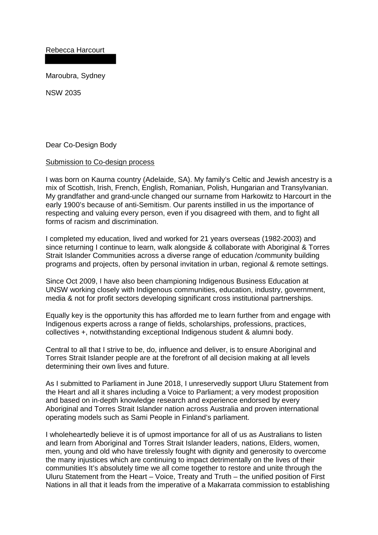Rebecca Harcourt

Maroubra, Sydney

NSW 2035

Dear Co-Design Body

## Submission to Co-design process

I was born on Kaurna country (Adelaide, SA). My family's Celtic and Jewish ancestry is a mix of Scottish, Irish, French, English, Romanian, Polish, Hungarian and Transylvanian. My grandfather and grand-uncle changed our surname from Harkowitz to Harcourt in the early 1900's because of anti-Semitism. Our parents instilled in us the importance of respecting and valuing every person, even if you disagreed with them, and to fight all forms of racism and discrimination.

I completed my education, lived and worked for 21 years overseas (1982-2003) and since returning I continue to learn, walk alongside & collaborate with Aboriginal & Torres Strait Islander Communities across a diverse range of education /community building programs and projects, often by personal invitation in urban, regional & remote settings.

Since Oct 2009, I have also been championing Indigenous Business Education at UNSW working closely with Indigenous communities, education, industry, government, media & not for profit sectors developing significant cross institutional partnerships.

Equally key is the opportunity this has afforded me to learn further from and engage with Indigenous experts across a range of fields, scholarships, professions, practices, collectives +, notwithstanding exceptional Indigenous student & alumni body.

Central to all that I strive to be, do, influence and deliver, is to ensure Aboriginal and Torres Strait Islander people are at the forefront of all decision making at all levels determining their own lives and future.

As I submitted to Parliament in June 2018, I unreservedly support Uluru Statement from the Heart and all it shares including a Voice to Parliament; a very modest proposition and based on in-depth knowledge research and experience endorsed by every Aboriginal and Torres Strait Islander nation across Australia and proven international operating models such as Sami People in Finland's parliament.

I wholeheartedly believe it is of upmost importance for all of us as Australians to listen and learn from Aboriginal and Torres Strait Islander leaders, nations, Elders, women, men, young and old who have tirelessly fought with dignity and generosity to overcome the many injustices which are continuing to impact detrimentally on the lives of their communities It's absolutely time we all come together to restore and unite through the Uluru Statement from the Heart – Voice, Treaty and Truth – the unified position of First Nations in all that it leads from the imperative of a Makarrata commission to establishing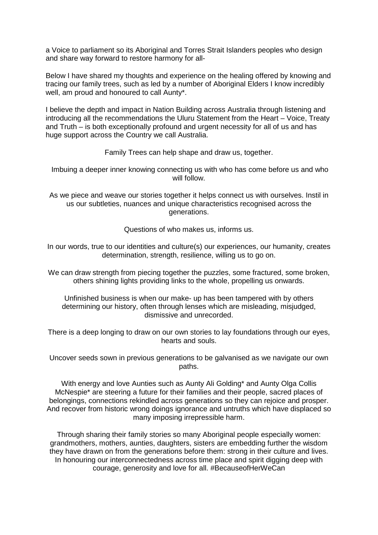a Voice to parliament so its Aboriginal and Torres Strait Islanders peoples who design and share way forward to restore harmony for all-

Below I have shared my thoughts and experience on the healing offered by knowing and tracing our family trees, such as led by a number of Aboriginal Elders I know incredibly well, am proud and honoured to call Aunty\*.

I believe the depth and impact in Nation Building across Australia through listening and introducing all the recommendations the Uluru Statement from the Heart – Voice, Treaty and Truth – is both exceptionally profound and urgent necessity for all of us and has huge support across the Country we call Australia.

Family Trees can help shape and draw us, together.

Imbuing a deeper inner knowing connecting us with who has come before us and who will follow.

As we piece and weave our stories together it helps connect us with ourselves. Instil in us our subtleties, nuances and unique characteristics recognised across the generations.

Questions of who makes us, informs us.

In our words, true to our identities and culture(s) our experiences, our humanity, creates determination, strength, resilience, willing us to go on.

We can draw strength from piecing together the puzzles, some fractured, some broken, others shining lights providing links to the whole, propelling us onwards.

Unfinished business is when our make- up has been tampered with by others determining our history, often through lenses which are misleading, misjudged, dismissive and unrecorded.

There is a deep longing to draw on our own stories to lay foundations through our eyes, hearts and souls.

Uncover seeds sown in previous generations to be galvanised as we navigate our own paths.

With energy and love Aunties such as Aunty Ali Golding\* and Aunty Olga Collis McNespie\* are steering a future for their families and their people, sacred places of belongings, connections rekindled across generations so they can rejoice and prosper. And recover from historic wrong doings ignorance and untruths which have displaced so many imposing irrepressible harm.

Through sharing their family stories so many Aboriginal people especially women: grandmothers, mothers, aunties, daughters, sisters are embedding further the wisdom they have drawn on from the generations before them: strong in their culture and lives. In honouring our interconnectedness across time place and spirit digging deep with courage, generosity and love for all. #BecauseofHerWeCan